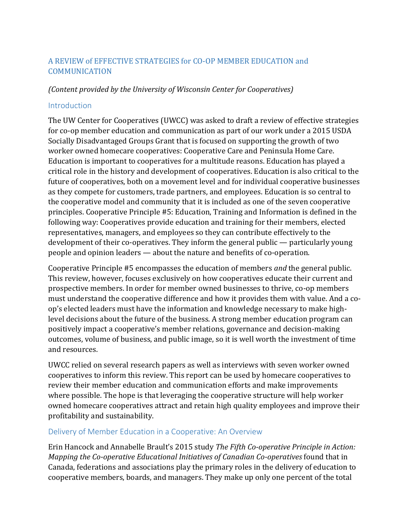# A REVIEW of EFFECTIVE STRATEGIES for CO-OP MEMBER EDUCATION and COMMUNICATION

### *(Content provided by the University of Wisconsin Center for Cooperatives)*

#### Introduction

The UW Center for Cooperatives (UWCC) was asked to draft a review of effective strategies for co-op member education and communication as part of our work under a 2015 USDA Socially Disadvantaged Groups Grant that is focused on supporting the growth of two worker owned homecare cooperatives: Cooperative Care and Peninsula Home Care. Education is important to cooperatives for a multitude reasons. Education has played a critical role in the history and development of cooperatives. Education is also critical to the future of cooperatives, both on a movement level and for individual cooperative businesses as they compete for customers, trade partners, and employees. Education is so central to the cooperative model and community that it is included as one of the seven cooperative principles. Cooperative Principle #5: Education, Training and Information is defined in the following way: Cooperatives provide education and training for their members, elected representatives, managers, and employees so they can contribute effectively to the development of their co-operatives. They inform the general public — particularly young people and opinion leaders — about the nature and benefits of co-operation.

Cooperative Principle #5 encompasses the education of members *and* the general public. This review, however, focuses exclusively on how cooperatives educate their current and prospective members. In order for member owned businesses to thrive, co-op members must understand the cooperative difference and how it provides them with value. And a coop's elected leaders must have the information and knowledge necessary to make highlevel decisions about the future of the business. A strong member education program can positively impact a cooperative's member relations, governance and decision-making outcomes, volume of business, and public image, so it is well worth the investment of time and resources.

UWCC relied on several research papers as well as interviews with seven worker owned cooperatives to inform this review. This report can be used by homecare cooperatives to review their member education and communication efforts and make improvements where possible. The hope is that leveraging the cooperative structure will help worker owned homecare cooperatives attract and retain high quality employees and improve their profitability and sustainability.

#### Delivery of Member Education in a Cooperative: An Overview

Erin Hancock and Annabelle Brault's 2015 study *The Fifth Co-operative Principle in Action: Mapping the Co-operative Educational Initiatives of Canadian Co-operatives* found that in Canada, federations and associations play the primary roles in the delivery of education to cooperative members, boards, and managers. They make up only one percent of the total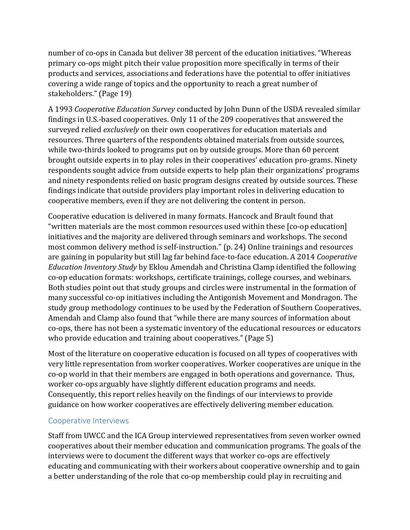number of co-ops in Canada but deliver 38 percent of the education initiatives. "Whereas primary co-ops might pitch their value proposition more specifically in terms of their products and services, associations and federations have the potential to offer initiatives covering a wide range of topics and the opportunity to reach a great number of stakeholders." (Page 19)

A 1993 *Cooperative Education Survey* conducted by John Dunn of the USDA revealed similar findings in U.S.-based cooperatives. Only 11 of the 209 cooperatives that answered the surveyed relied *exclusively* on their own cooperatives for education materials and resources. Three quarters of the respondents obtained materials from outside sources, while two-thirds looked to programs put on by outside groups. More than 60 percent brought outside experts in to play roles in their cooperatives' education pro-grams. Ninety respondents sought advice from outside experts to help plan their organizations' programs and ninety respondents relied on basic program designs created by outside sources. These findings indicate that outside providers play important roles in delivering education to cooperative members, even if they are not delivering the content in person.

Cooperative education is delivered in many formats. Hancock and Brault found that "written materials are the most common resources used within these [co-op education] initiatives and the majority are delivered through seminars and workshops. The second most common delivery method is self-instruction." (p. 24) Online trainings and resources are gaining in popularity but still lag far behind face-to-face education. A 2014 *Cooperative Education Inventory Study* by Eklou Amendah and Christina Clamp identified the following co-op education formats: workshops, certificate trainings, college courses, and webinars. Both studies point out that study groups and circles were instrumental in the formation of many successful co-op initiatives including the Antigonish Movement and Mondragon. The study group methodology continues to be used by the Federation of Southern Cooperatives. Amendah and Clamp also found that "while there are many sources of information about co-ops, there has not been a systematic inventory of the educational resources or educators who provide education and training about cooperatives." (Page 5)

Most of the literature on cooperative education is focused on all types of cooperatives with very little representation from worker cooperatives. Worker cooperatives are unique in the co-op world in that their members are engaged in both operations and governance. Thus, worker co-ops arguably have slightly different education programs and needs. Consequently, this report relies heavily on the findings of our interviews to provide guidance on how worker cooperatives are effectively delivering member education.

# Cooperative Interviews

Staff from UWCC and the ICA Group interviewed representatives from seven worker owned cooperatives about their member education and communication programs. The goals of the interviews were to document the different ways that worker co-ops are effectively educating and communicating with their workers about cooperative ownership and to gain a better understanding of the role that co-op membership could play in recruiting and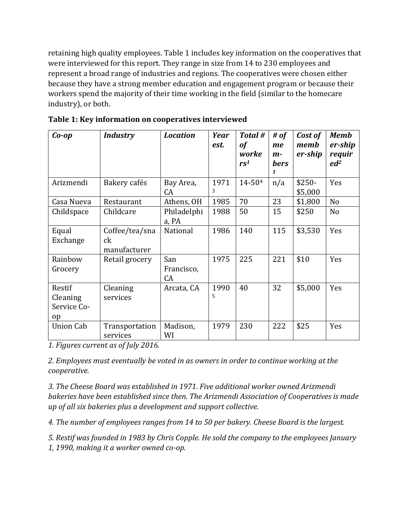retaining high quality employees. Table 1 includes key information on the cooperatives that were interviewed for this report. They range in size from 14 to 230 employees and represent a broad range of industries and regions. The cooperatives were chosen either because they have a strong member education and engagement program or because their workers spend the majority of their time working in the field (similar to the homecare industry), or both.

| $Co$ -op                                            | <b>Industry</b>                      | <b>Location</b>         | Year<br>est. | Total #<br>of<br>worke<br>rs <sup>1</sup> | # of<br>me<br>$m-$<br><b>bers</b><br>$\mathbf{1}$ | Cost of<br>memb<br>er-ship | <b>Memb</b><br>er-ship<br>requir<br>ed <sup>2</sup> |
|-----------------------------------------------------|--------------------------------------|-------------------------|--------------|-------------------------------------------|---------------------------------------------------|----------------------------|-----------------------------------------------------|
| Arizmendi                                           | Bakery cafés                         | Bay Area,<br>CA         | 1971<br>3    | 14-504                                    | n/a                                               | $$250-$<br>\$5,000         | Yes                                                 |
| Casa Nueva                                          | Restaurant                           | Athens, OH              | 1985         | 70                                        | 23                                                | \$1,800                    | N <sub>o</sub>                                      |
| Childspace                                          | Childcare                            | Philadelphi<br>a, PA    | 1988         | 50                                        | 15                                                | \$250                      | N <sub>o</sub>                                      |
| Equal<br>Exchange                                   | Coffee/tea/sna<br>ck<br>manufacturer | National                | 1986         | 140                                       | 115                                               | \$3,530                    | Yes                                                 |
| Rainbow<br>Grocery                                  | Retail grocery                       | San<br>Francisco,<br>CA | 1975         | 225                                       | 221                                               | \$10                       | Yes                                                 |
| Restif<br>Cleaning<br>Service Co-<br><sub>o</sub> p | Cleaning<br>services                 | Arcata, CA              | 1990<br>5    | 40                                        | 32                                                | \$5,000                    | Yes                                                 |
| <b>Union Cab</b>                                    | Transportation<br>services           | Madison,<br>WI          | 1979         | 230                                       | 222                                               | \$25                       | Yes                                                 |

**Table 1: Key information on cooperatives interviewed**

*1. Figures current as of July 2016.*

*2. Employees must eventually be voted in as owners in order to continue working at the cooperative.*

*3. The Cheese Board was established in 1971. Five additional worker owned Arizmendi bakeries have been established since then. The Arizmendi Association of Cooperatives is made up of all six bakeries plus a development and support collective.* 

*4. The number of employees ranges from 14 to 50 per bakery. Cheese Board is the largest.* 

*5. Restif was founded in 1983 by Chris Copple. He sold the company to the employees January* 

*1, 1990, making it a worker owned co-op.*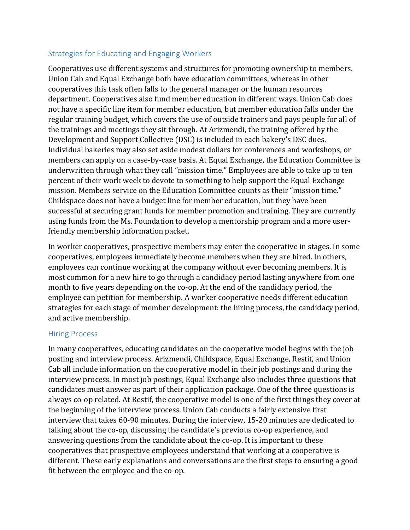# Strategies for Educating and Engaging Workers

Cooperatives use different systems and structures for promoting ownership to members. Union Cab and Equal Exchange both have education committees, whereas in other cooperatives this task often falls to the general manager or the human resources department. Cooperatives also fund member education in different ways. Union Cab does not have a specific line item for member education, but member education falls under the regular training budget, which covers the use of outside trainers and pays people for all of the trainings and meetings they sit through. At Arizmendi, the training offered by the Development and Support Collective (DSC) is included in each bakery's DSC dues. Individual bakeries may also set aside modest dollars for conferences and workshops, or members can apply on a case-by-case basis. At Equal Exchange, the Education Committee is underwritten through what they call "mission time." Employees are able to take up to ten percent of their work week to devote to something to help support the Equal Exchange mission. Members service on the Education Committee counts as their "mission time." Childspace does not have a budget line for member education, but they have been successful at securing grant funds for member promotion and training. They are currently using funds from the Ms. Foundation to develop a mentorship program and a more userfriendly membership information packet.

In worker cooperatives, prospective members may enter the cooperative in stages. In some cooperatives, employees immediately become members when they are hired. In others, employees can continue working at the company without ever becoming members. It is most common for a new hire to go through a candidacy period lasting anywhere from one month to five years depending on the co-op. At the end of the candidacy period, the employee can petition for membership. A worker cooperative needs different education strategies for each stage of member development: the hiring process, the candidacy period, and active membership.

#### Hiring Process

In many cooperatives, educating candidates on the cooperative model begins with the job posting and interview process. Arizmendi, Childspace, Equal Exchange, Restif, and Union Cab all include information on the cooperative model in their job postings and during the interview process. In most job postings, Equal Exchange also includes three questions that candidates must answer as part of their application package. One of the three questions is always co-op related. At Restif, the cooperative model is one of the first things they cover at the beginning of the interview process. Union Cab conducts a fairly extensive first interview that takes 60-90 minutes. During the interview, 15-20 minutes are dedicated to talking about the co-op, discussing the candidate's previous co-op experience, and answering questions from the candidate about the co-op. It is important to these cooperatives that prospective employees understand that working at a cooperative is different. These early explanations and conversations are the first steps to ensuring a good fit between the employee and the co-op.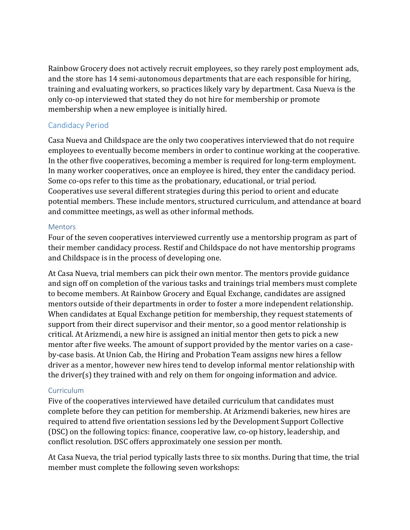Rainbow Grocery does not actively recruit employees, so they rarely post employment ads, and the store has 14 semi-autonomous departments that are each responsible for hiring, training and evaluating workers, so practices likely vary by department. Casa Nueva is the only co-op interviewed that stated they do not hire for membership or promote membership when a new employee is initially hired.

# Candidacy Period

Casa Nueva and Childspace are the only two cooperatives interviewed that do not require employees to eventually become members in order to continue working at the cooperative. In the other five cooperatives, becoming a member is required for long-term employment. In many worker cooperatives, once an employee is hired, they enter the candidacy period. Some co-ops refer to this time as the probationary, educational, or trial period. Cooperatives use several different strategies during this period to orient and educate potential members. These include mentors, structured curriculum, and attendance at board and committee meetings, as well as other informal methods.

#### **Mentors**

Four of the seven cooperatives interviewed currently use a mentorship program as part of their member candidacy process. Restif and Childspace do not have mentorship programs and Childspace is in the process of developing one.

At Casa Nueva, trial members can pick their own mentor. The mentors provide guidance and sign off on completion of the various tasks and trainings trial members must complete to become members. At Rainbow Grocery and Equal Exchange, candidates are assigned mentors outside of their departments in order to foster a more independent relationship. When candidates at Equal Exchange petition for membership, they request statements of support from their direct supervisor and their mentor, so a good mentor relationship is critical. At Arizmendi, a new hire is assigned an initial mentor then gets to pick a new mentor after five weeks. The amount of support provided by the mentor varies on a caseby-case basis. At Union Cab, the Hiring and Probation Team assigns new hires a fellow driver as a mentor, however new hires tend to develop informal mentor relationship with the driver(s) they trained with and rely on them for ongoing information and advice.

#### Curriculum

Five of the cooperatives interviewed have detailed curriculum that candidates must complete before they can petition for membership. At Arizmendi bakeries, new hires are required to attend five orientation sessions led by the Development Support Collective (DSC) on the following topics: finance, cooperative law, co-op history, leadership, and conflict resolution. DSC offers approximately one session per month.

At Casa Nueva, the trial period typically lasts three to six months. During that time, the trial member must complete the following seven workshops: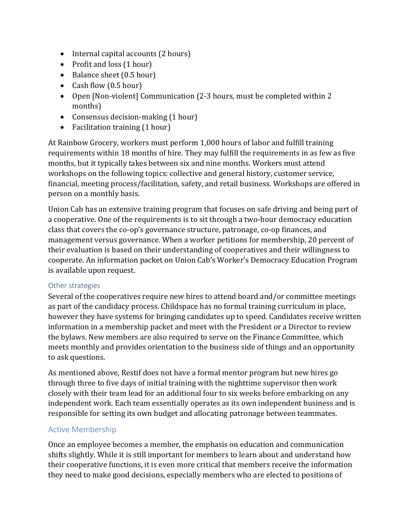- Internal capital accounts (2 hours)
- Profit and loss (1 hour)
- Balance sheet (0.5 hour)
- Cash flow (0.5 hour)
- Open [Non-violent] Communication (2-3 hours, must be completed within 2 months)
- Consensus decision-making (1 hour)
- Facilitation training (1 hour)

At Rainbow Grocery, workers must perform 1,000 hours of labor and fulfill training requirements within 18 months of hire. They may fulfill the requirements in as few as five months, but it typically takes between six and nine months. Workers must attend workshops on the following topics: collective and general history, customer service, financial, meeting process/facilitation, safety, and retail business. Workshops are offered in person on a monthly basis.

Union Cab has an extensive training program that focuses on safe driving and being part of a cooperative. One of the requirements is to sit through a two-hour democracy education class that covers the co-op's governance structure, patronage, co-op finances, and management versus governance. When a worker petitions for membership, 20 percent of their evaluation is based on their understanding of cooperatives and their willingness to cooperate. An information packet on Union Cab's Worker's Democracy Education Program is available upon request.

#### Other strategies

Several of the cooperatives require new hires to attend board and/or committee meetings as part of the candidacy process. Childspace has no formal training curriculum in place, however they have systems for bringing candidates up to speed. Candidates receive written information in a membership packet and meet with the President or a Director to review the bylaws. New members are also required to serve on the Finance Committee, which meets monthly and provides orientation to the business side of things and an opportunity to ask questions.

As mentioned above, Restif does not have a formal mentor program but new hires go through three to five days of initial training with the nighttime supervisor then work closely with their team lead for an additional four to six weeks before embarking on any independent work. Each team essentially operates as its own independent business and is responsible for setting its own budget and allocating patronage between teammates.

# Active Membership

Once an employee becomes a member, the emphasis on education and communication shifts slightly. While it is still important for members to learn about and understand how their cooperative functions, it is even more critical that members receive the information they need to make good decisions, especially members who are elected to positions of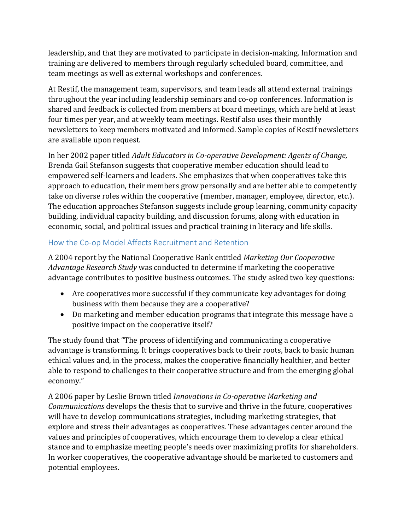leadership, and that they are motivated to participate in decision-making. Information and training are delivered to members through regularly scheduled board, committee, and team meetings as well as external workshops and conferences.

At Restif, the management team, supervisors, and team leads all attend external trainings throughout the year including leadership seminars and co-op conferences. Information is shared and feedback is collected from members at board meetings, which are held at least four times per year, and at weekly team meetings. Restif also uses their monthly newsletters to keep members motivated and informed. Sample copies of Restif newsletters are available upon request.

In her 2002 paper titled *Adult Educators in Co-operative Development: Agents of Change,* Brenda Gail Stefanson suggests that cooperative member education should lead to empowered self-learners and leaders. She emphasizes that when cooperatives take this approach to education, their members grow personally and are better able to competently take on diverse roles within the cooperative (member, manager, employee, director, etc.). The education approaches Stefanson suggests include group learning, community capacity building, individual capacity building, and discussion forums, along with education in economic, social, and political issues and practical training in literacy and life skills.

# How the Co-op Model Affects Recruitment and Retention

A 2004 report by the National Cooperative Bank entitled *Marketing Our Cooperative Advantage Research Study* was conducted to determine if marketing the cooperative advantage contributes to positive business outcomes. The study asked two key questions:

- Are cooperatives more successful if they communicate key advantages for doing business with them because they are a cooperative?
- Do marketing and member education programs that integrate this message have a positive impact on the cooperative itself?

The study found that "The process of identifying and communicating a cooperative advantage is transforming. It brings cooperatives back to their roots, back to basic human ethical values and, in the process, makes the cooperative financially healthier, and better able to respond to challenges to their cooperative structure and from the emerging global economy."

A 2006 paper by Leslie Brown titled *Innovations in Co-operative Marketing and Communications* develops the thesis that to survive and thrive in the future, cooperatives will have to develop communications strategies, including marketing strategies, that explore and stress their advantages as cooperatives. These advantages center around the values and principles of cooperatives, which encourage them to develop a clear ethical stance and to emphasize meeting people's needs over maximizing profits for shareholders. In worker cooperatives, the cooperative advantage should be marketed to customers and potential employees.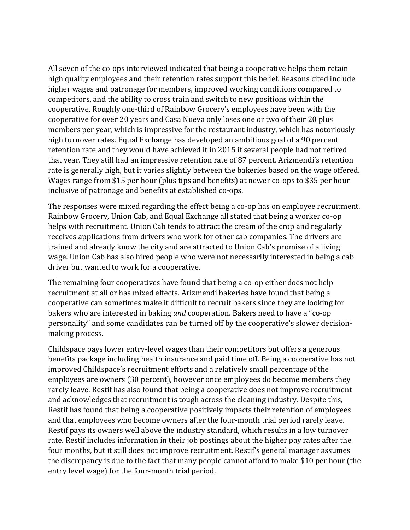All seven of the co-ops interviewed indicated that being a cooperative helps them retain high quality employees and their retention rates support this belief. Reasons cited include higher wages and patronage for members, improved working conditions compared to competitors, and the ability to cross train and switch to new positions within the cooperative. Roughly one-third of Rainbow Grocery's employees have been with the cooperative for over 20 years and Casa Nueva only loses one or two of their 20 plus members per year, which is impressive for the restaurant industry, which has notoriously high turnover rates. Equal Exchange has developed an ambitious goal of a 90 percent retention rate and they would have achieved it in 2015 if several people had not retired that year. They still had an impressive retention rate of 87 percent. Arizmendi's retention rate is generally high, but it varies slightly between the bakeries based on the wage offered. Wages range from \$15 per hour (plus tips and benefits) at newer co-ops to \$35 per hour inclusive of patronage and benefits at established co-ops.

The responses were mixed regarding the effect being a co-op has on employee recruitment. Rainbow Grocery, Union Cab, and Equal Exchange all stated that being a worker co-op helps with recruitment. Union Cab tends to attract the cream of the crop and regularly receives applications from drivers who work for other cab companies. The drivers are trained and already know the city and are attracted to Union Cab's promise of a living wage. Union Cab has also hired people who were not necessarily interested in being a cab driver but wanted to work for a cooperative.

The remaining four cooperatives have found that being a co-op either does not help recruitment at all or has mixed effects. Arizmendi bakeries have found that being a cooperative can sometimes make it difficult to recruit bakers since they are looking for bakers who are interested in baking *and* cooperation. Bakers need to have a "co-op personality" and some candidates can be turned off by the cooperative's slower decisionmaking process.

Childspace pays lower entry-level wages than their competitors but offers a generous benefits package including health insurance and paid time off. Being a cooperative has not improved Childspace's recruitment efforts and a relatively small percentage of the employees are owners (30 percent), however once employees do become members they rarely leave. Restif has also found that being a cooperative does not improve recruitment and acknowledges that recruitment is tough across the cleaning industry. Despite this, Restif has found that being a cooperative positively impacts their retention of employees and that employees who become owners after the four-month trial period rarely leave. Restif pays its owners well above the industry standard, which results in a low turnover rate. Restif includes information in their job postings about the higher pay rates after the four months, but it still does not improve recruitment. Restif's general manager assumes the discrepancy is due to the fact that many people cannot afford to make \$10 per hour (the entry level wage) for the four-month trial period.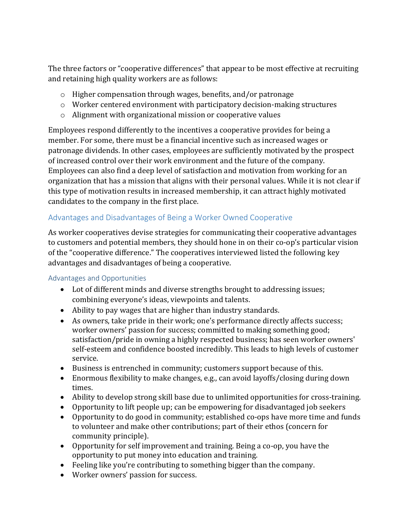The three factors or "cooperative differences" that appear to be most effective at recruiting and retaining high quality workers are as follows:

- o Higher compensation through wages, benefits, and/or patronage
- o Worker centered environment with participatory decision-making structures
- o Alignment with organizational mission or cooperative values

Employees respond differently to the incentives a cooperative provides for being a member. For some, there must be a financial incentive such as increased wages or patronage dividends. In other cases, employees are sufficiently motivated by the prospect of increased control over their work environment and the future of the company. Employees can also find a deep level of satisfaction and motivation from working for an organization that has a mission that aligns with their personal values. While it is not clear if this type of motivation results in increased membership, it can attract highly motivated candidates to the company in the first place.

# Advantages and Disadvantages of Being a Worker Owned Cooperative

As worker cooperatives devise strategies for communicating their cooperative advantages to customers and potential members, they should hone in on their co-op's particular vision of the "cooperative difference." The cooperatives interviewed listed the following key advantages and disadvantages of being a cooperative.

# Advantages and Opportunities

- Lot of different minds and diverse strengths brought to addressing issues; combining everyone's ideas, viewpoints and talents.
- Ability to pay wages that are higher than industry standards.
- As owners, take pride in their work; one's performance directly affects success; worker owners' passion for success; committed to making something good; satisfaction/pride in owning a highly respected business; has seen worker owners' self-esteem and confidence boosted incredibly. This leads to high levels of customer service.
- Business is entrenched in community; customers support because of this.
- Enormous flexibility to make changes, e.g., can avoid layoffs/closing during down times.
- Ability to develop strong skill base due to unlimited opportunities for cross-training.
- Opportunity to lift people up; can be empowering for disadvantaged job seekers
- Opportunity to do good in community; established co-ops have more time and funds to volunteer and make other contributions; part of their ethos (concern for community principle).
- Opportunity for self improvement and training. Being a co-op, you have the opportunity to put money into education and training.
- Feeling like you're contributing to something bigger than the company.
- Worker owners' passion for success.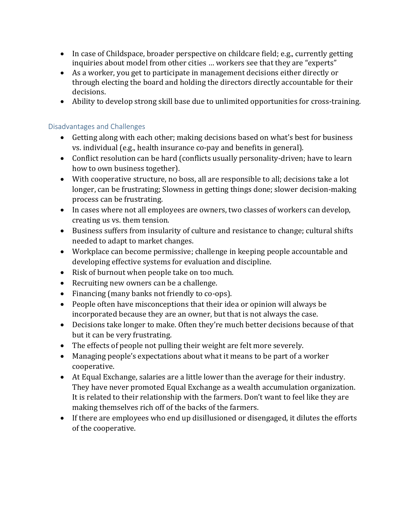- In case of Childspace, broader perspective on childcare field; e.g., currently getting inquiries about model from other cities … workers see that they are "experts"
- As a worker, you get to participate in management decisions either directly or through electing the board and holding the directors directly accountable for their decisions.
- Ability to develop strong skill base due to unlimited opportunities for cross-training.

### Disadvantages and Challenges

- Getting along with each other; making decisions based on what's best for business vs. individual (e.g., health insurance co-pay and benefits in general).
- Conflict resolution can be hard (conflicts usually personality-driven; have to learn how to own business together).
- With cooperative structure, no boss, all are responsible to all; decisions take a lot longer, can be frustrating; Slowness in getting things done; slower decision-making process can be frustrating.
- In cases where not all employees are owners, two classes of workers can develop, creating us vs. them tension.
- Business suffers from insularity of culture and resistance to change; cultural shifts needed to adapt to market changes.
- Workplace can become permissive; challenge in keeping people accountable and developing effective systems for evaluation and discipline.
- Risk of burnout when people take on too much.
- Recruiting new owners can be a challenge.
- Financing (many banks not friendly to co-ops).
- People often have misconceptions that their idea or opinion will always be incorporated because they are an owner, but that is not always the case.
- Decisions take longer to make. Often they're much better decisions because of that but it can be very frustrating.
- The effects of people not pulling their weight are felt more severely.
- Managing people's expectations about what it means to be part of a worker cooperative.
- At Equal Exchange, salaries are a little lower than the average for their industry. They have never promoted Equal Exchange as a wealth accumulation organization. It is related to their relationship with the farmers. Don't want to feel like they are making themselves rich off of the backs of the farmers.
- If there are employees who end up disillusioned or disengaged, it dilutes the efforts of the cooperative.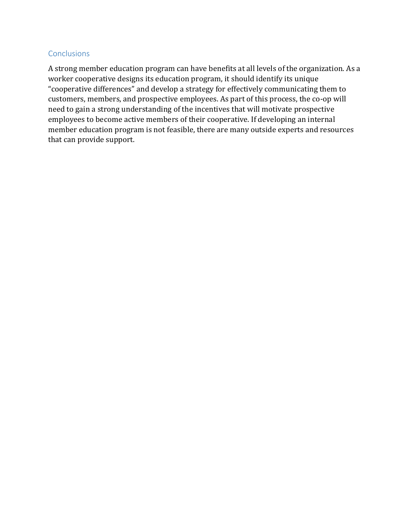#### **Conclusions**

A strong member education program can have benefits at all levels of the organization. As a worker cooperative designs its education program, it should identify its unique "cooperative differences" and develop a strategy for effectively communicating them to customers, members, and prospective employees. As part of this process, the co-op will need to gain a strong understanding of the incentives that will motivate prospective employees to become active members of their cooperative. If developing an internal member education program is not feasible, there are many outside experts and resources that can provide support.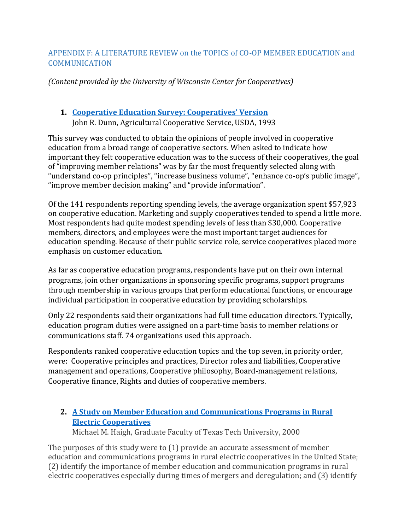# APPENDIX F: A LITERATURE REVIEW on the TOPICS of CO-OP MEMBER EDUCATION and **COMMUNICATION**

*(Content provided by the University of Wisconsin Center for Cooperatives)*

# **1. [Cooperative Education Survey: Cooperatives' Version](http://www.rd.usda.gov/files/rr119.pdf)** John R. Dunn, Agricultural Cooperative Service, USDA, 1993

This survey was conducted to obtain the opinions of people involved in cooperative education from a broad range of cooperative sectors. When asked to indicate how important they felt cooperative education was to the success of their cooperatives, the goal of "improving member relations" was by far the most frequently selected along with "understand co-op principles", "increase business volume", "enhance co-op's public image", "improve member decision making" and "provide information".

Of the 141 respondents reporting spending levels, the average organization spent \$57,923 on cooperative education. Marketing and supply cooperatives tended to spend a little more. Most respondents had quite modest spending levels of less than \$30,000. Cooperative members, directors, and employees were the most important target audiences for education spending. Because of their public service role, service cooperatives placed more emphasis on customer education.

As far as cooperative education programs, respondents have put on their own internal programs, join other organizations in sponsoring specific programs, support programs through membership in various groups that perform educational functions, or encourage individual participation in cooperative education by providing scholarships.

Only 22 respondents said their organizations had full time education directors. Typically, education program duties were assigned on a part-time basis to member relations or communications staff. 74 organizations used this approach.

Respondents ranked cooperative education topics and the top seven, in priority order, were: Cooperative principles and practices, Director roles and liabilities, Cooperative management and operations, Cooperative philosophy, Board-management relations, Cooperative finance, Rights and duties of cooperative members.

# **2. [A Study on Member Education and Communications Programs in Rural](https://repositories.tdl.org/ttu-ir/bitstream/handle/2346/17434/31295016605841.pdf?sequence=1&isAllowed=y)  [Electric Cooperatives](https://repositories.tdl.org/ttu-ir/bitstream/handle/2346/17434/31295016605841.pdf?sequence=1&isAllowed=y)**

Michael M. Haigh, Graduate Faculty of Texas Tech University, 2000

The purposes of this study were to (1) provide an accurate assessment of member education and communications programs in rural electric cooperatives in the United State; (2) identify the importance of member education and communication programs in rural electric cooperatives especially during times of mergers and deregulation; and (3) identify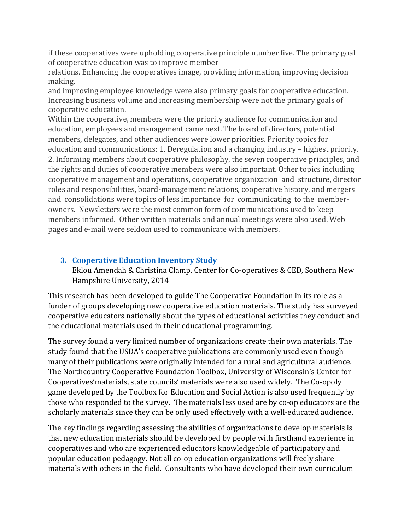if these cooperatives were upholding cooperative principle number five. The primary goal of cooperative education was to improve member

relations. Enhancing the cooperatives image, providing information, improving decision making,

and improving employee knowledge were also primary goals for cooperative education. Increasing business volume and increasing membership were not the primary goals of cooperative education.

Within the cooperative, members were the priority audience for communication and education, employees and management came next. The board of directors, potential members, delegates, and other audiences were lower priorities. Priority topics for education and communications: 1. Deregulation and a changing industry – highest priority. 2. Informing members about cooperative philosophy, the seven cooperative principles, and the rights and duties of cooperative members were also important. Other topics including cooperative management and operations, cooperative organization and structure, director roles and responsibilities, board-management relations, cooperative history, and mergers and consolidations were topics of less importance for communicating to the memberowners. Newsletters were the most common form of communications used to keep members informed. Other written materials and annual meetings were also used. Web pages and e-mail were seldom used to communicate with members.

# **3. [Cooperative Education Inventory Study](http://community-wealth.org/sites/clone.community-wealth.org/files/downloads/report-amendah-clamp.pdf)**

Eklou Amendah & Christina Clamp, Center for Co-operatives & CED, Southern New Hampshire University, 2014

This research has been developed to guide The Cooperative Foundation in its role as a funder of groups developing new cooperative education materials. The study has surveyed cooperative educators nationally about the types of educational activities they conduct and the educational materials used in their educational programming.

The survey found a very limited number of organizations create their own materials. The study found that the USDA's cooperative publications are commonly used even though many of their publications were originally intended for a rural and agricultural audience. The Northcountry Cooperative Foundation Toolbox, University of Wisconsin's Center for Cooperatives'materials, state councils' materials were also used widely. The Co-opoly game developed by the Toolbox for Education and Social Action is also used frequently by those who responded to the survey. The materials less used are by co-op educators are the scholarly materials since they can be only used effectively with a well-educated audience.

The key findings regarding assessing the abilities of organizations to develop materials is that new education materials should be developed by people with firsthand experience in cooperatives and who are experienced educators knowledgeable of participatory and popular education pedagogy. Not all co-op education organizations will freely share materials with others in the field. Consultants who have developed their own curriculum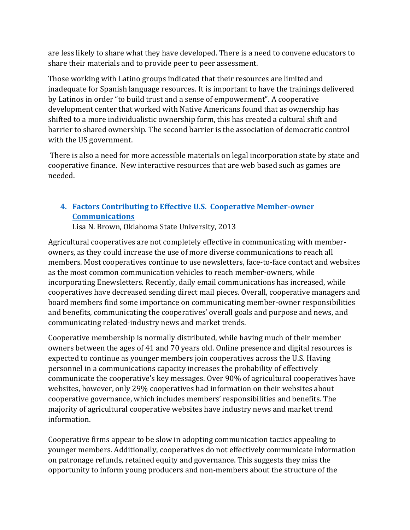are less likely to share what they have developed. There is a need to convene educators to share their materials and to provide peer to peer assessment.

Those working with Latino groups indicated that their resources are limited and inadequate for Spanish language resources. It is important to have the trainings delivered by Latinos in order "to build trust and a sense of empowerment". A cooperative development center that worked with Native Americans found that as ownership has shifted to a more individualistic ownership form, this has created a cultural shift and barrier to shared ownership. The second barrier is the association of democratic control with the US government.

There is also a need for more accessible materials on legal incorporation state by state and cooperative finance. New interactive resources that are web based such as games are needed.

# **4. [Factors Contributing to Effective U.S. Cooperative Member-owner](http://ageconsearch.umn.edu/bitstream/143027/2/Brown,LisaFactorsContributingtoEffectiveCoopCommunications_Final.pdf)  [Communications](http://ageconsearch.umn.edu/bitstream/143027/2/Brown,LisaFactorsContributingtoEffectiveCoopCommunications_Final.pdf)**

Lisa N. Brown, Oklahoma State University, 2013

Agricultural cooperatives are not completely effective in communicating with memberowners, as they could increase the use of more diverse communications to reach all members. Most cooperatives continue to use newsletters, face-to-face contact and websites as the most common communication vehicles to reach member-owners, while incorporating Enewsletters. Recently, daily email communications has increased, while cooperatives have decreased sending direct mail pieces. Overall, cooperative managers and board members find some importance on communicating member-owner responsibilities and benefits, communicating the cooperatives' overall goals and purpose and news, and communicating related-industry news and market trends.

Cooperative membership is normally distributed, while having much of their member owners between the ages of 41 and 70 years old. Online presence and digital resources is expected to continue as younger members join cooperatives across the U.S. Having personnel in a communications capacity increases the probability of effectively communicate the cooperative's key messages. Over 90% of agricultural cooperatives have websites, however, only 29% cooperatives had information on their websites about cooperative governance, which includes members' responsibilities and benefits. The majority of agricultural cooperative websites have industry news and market trend information.

Cooperative firms appear to be slow in adopting communication tactics appealing to younger members. Additionally, cooperatives do not effectively communicate information on patronage refunds, retained equity and governance. This suggests they miss the opportunity to inform young producers and non-members about the structure of the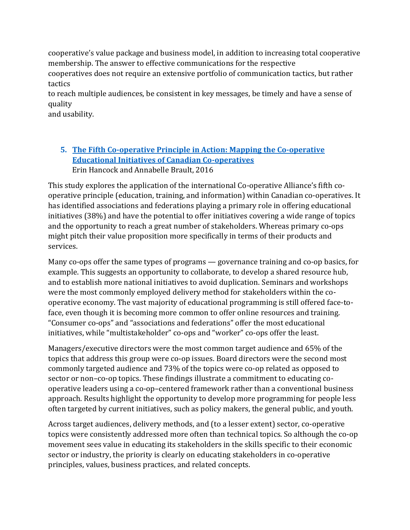cooperative's value package and business model, in addition to increasing total cooperative membership. The answer to effective communications for the respective

cooperatives does not require an extensive portfolio of communication tactics, but rather tactics

to reach multiple audiences, be consistent in key messages, be timely and have a sense of quality

and usability.

# **5. [The Fifth Co-operative Principle in Action:](http://usaskstudies.coop/documents/books,-booklets,-proceedings/Fifth%20Co-op%20Principle%20final.pdf) Mapping the Co-operative [Educational Initiatives of Canadian Co-operatives](http://usaskstudies.coop/documents/books,-booklets,-proceedings/Fifth%20Co-op%20Principle%20final.pdf)** Erin Hancock and Annabelle Brault, 2016

This study explores the application of the international Co-operative Alliance's fifth cooperative principle (education, training, and information) within Canadian co-operatives. It has identified associations and federations playing a primary role in offering educational initiatives (38%) and have the potential to offer initiatives covering a wide range of topics and the opportunity to reach a great number of stakeholders. Whereas primary co-ops might pitch their value proposition more specifically in terms of their products and services.

Many co-ops offer the same types of programs — governance training and co-op basics, for example. This suggests an opportunity to collaborate, to develop a shared resource hub, and to establish more national initiatives to avoid duplication. Seminars and workshops were the most commonly employed delivery method for stakeholders within the cooperative economy. The vast majority of educational programming is still offered face-toface, even though it is becoming more common to offer online resources and training. "Consumer co-ops" and "associations and federations" offer the most educational initiatives, while "multistakeholder" co-ops and "worker" co-ops offer the least.

Managers/executive directors were the most common target audience and 65% of the topics that address this group were co-op issues. Board directors were the second most commonly targeted audience and 73% of the topics were co-op related as opposed to sector or non–co-op topics. These findings illustrate a commitment to educating cooperative leaders using a co-op–centered framework rather than a conventional business approach. Results highlight the opportunity to develop more programming for people less often targeted by current initiatives, such as policy makers, the general public, and youth.

Across target audiences, delivery methods, and (to a lesser extent) sector, co-operative topics were consistently addressed more often than technical topics. So although the co-op movement sees value in educating its stakeholders in the skills specific to their economic sector or industry, the priority is clearly on educating stakeholders in co-operative principles, values, business practices, and related concepts.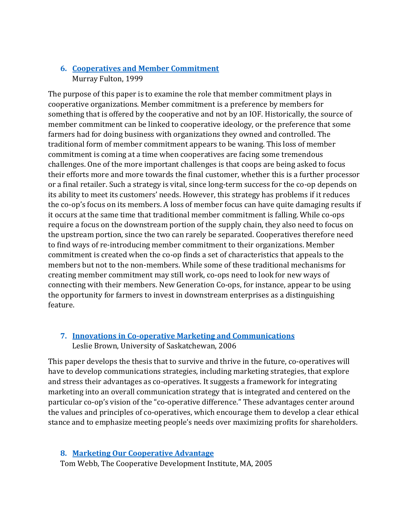# **6. [Cooperatives and Member Commitment](http://citeseerx.ist.psu.edu/viewdoc/download?doi=10.1.1.114.2&rep=rep1&type=pdf)** Murray Fulton, 1999

The purpose of this paper is to examine the role that member commitment plays in cooperative organizations. Member commitment is a preference by members for something that is offered by the cooperative and not by an IOF. Historically, the source of member commitment can be linked to cooperative ideology, or the preference that some farmers had for doing business with organizations they owned and controlled. The traditional form of member commitment appears to be waning. This loss of member commitment is coming at a time when cooperatives are facing some tremendous challenges. One of the more important challenges is that coops are being asked to focus their efforts more and more towards the final customer, whether this is a further processor or a final retailer. Such a strategy is vital, since long-term success for the co-op depends on its ability to meet its customers' needs. However, this strategy has problems if it reduces the co-op's focus on its members. A loss of member focus can have quite damaging results if it occurs at the same time that traditional member commitment is falling. While co-ops require a focus on the downstream portion of the supply chain, they also need to focus on the upstream portion, since the two can rarely be separated. Cooperatives therefore need to find ways of re-introducing member commitment to their organizations. Member commitment is created when the co-op finds a set of characteristics that appeals to the members but not to the non-members. While some of these traditional mechanisms for creating member commitment may still work, co-ops need to look for new ways of connecting with their members. New Generation Co-ops, for instance, appear to be using the opportunity for farmers to invest in downstream enterprises as a distinguishing feature.

# **7. [Innovations in Co-operative Marketing and Communications](http://usaskstudies.coop/documents/books,-booklets,-proceedings/Innovations%20Co-op%20Marketing.pdf)** Leslie Brown, University of Saskatchewan, 2006

This paper develops the thesis that to survive and thrive in the future, co-operatives will have to develop communications strategies, including marketing strategies, that explore and stress their advantages as co-operatives. It suggests a framework for integrating marketing into an overall communication strategy that is integrated and centered on the particular co-op's vision of the "co-operative difference." These advantages center around the values and principles of co-operatives, which encourage them to develop a clear ethical stance and to emphasize meeting people's needs over maximizing profits for shareholders.

#### **8. [Marketing Our Cooperative Advantage](http://www.cdi.coop/wp-content/uploads/2014/06/ncbsmall2.pdf)**

Tom Webb, The Cooperative Development Institute, MA, 2005